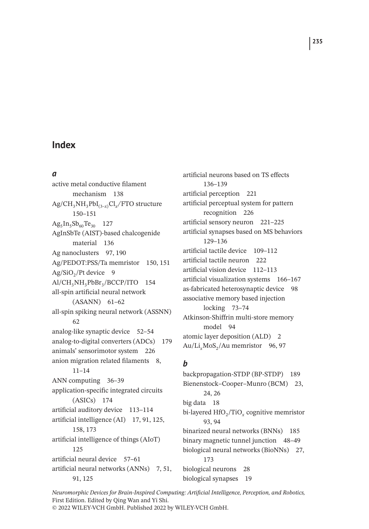#### *a*

active metal conductive filament mechanism 138 Ag/CH3NH3PbI(3–*x*)Cl*x/*FTO structure 150–151  $Ag<sub>5</sub>In<sub>5</sub>Sb<sub>60</sub>Te<sub>30</sub>$  127 AgInSbTe (AIST)-based chalcogenide material 136 Ag nanoclusters 97, 190 Ag/PEDOT:PSS/Ta memristor 150, 151  $Ag/SiO<sub>2</sub>/Pt$  device 9 Al/CH<sub>3</sub>NH<sub>3</sub>PbBr<sub>3</sub>/BCCP/ITO 154 all-spin artificial neural network (ASANN) 61–62 all-spin spiking neural network (ASSNN)  $62$ analog-like synaptic device 52–54 analog-to-digital converters (ADCs) 179 animals' sensorimotor system 226 anion migration related filaments 8, 11–14 ANN computing 36–39 application-specific integrated circuits (ASICs) 174 artificial auditory device 113–114 artificial intelligence (AI) 17, 91, 125, 158, 173 artificial intelligence of things (AIoT) 125 artificial neural device 57–61 artificial neural networks (ANNs) 7, 51, 91, 125

artificial neurons based on TS effects 136–139 artificial perception 221 artificial perceptual system for pattern recognition 226 artificial sensory neuron 221–225 artificial synapses based on MS behaviors 129–136 artificial tactile device 109–112 artificial tactile neuron 222 artificial vision device 112–113 artificial visualization systems 166–167 as-fabricated heterosynaptic device 98 associative memory based injection locking 73–74 Atkinson-Shiffrin multi-store memory model 94 atomic layer deposition (ALD) 2 Au/Li<sub>x</sub>MoS<sub>2</sub>/Au memristor 96, 97

### *b*

backpropagation-STDP (BP-STDP) 189 Bienenstock–Cooper–Munro (BCM) 23, 24, 26 big data 18 bi-layered HfO<sub>2</sub>/TiO<sub>x</sub> cognitive memristor 93, 94 binarized neural networks (BNNs) 185 binary magnetic tunnel junction 48–49 biological neural networks (BioNNs) 27, 173 biological neurons 28 biological synapses 19

*Neuromorphic Devices for Brain-Inspired Computing: Artificial Intelligence, Perception, and Robotics,* First Edition. Edited by Qing Wan and Yi Shi. © 2022 WILEY-VCH GmbH. Published 2022 by WILEY-VCH GmbH.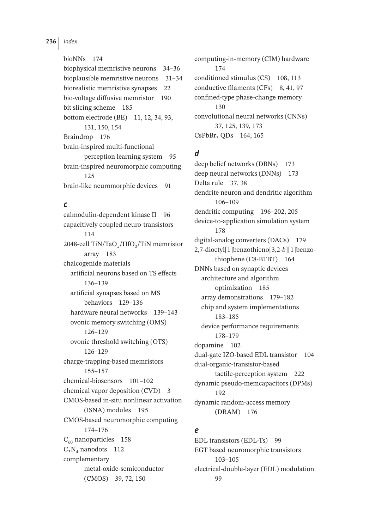#### bioNNs 174

biophysical memristive neurons 34–36 bioplausible memristive neurons 31–34 biorealistic memristive synapses 22 bio-voltage diffusive memristor 190 bit slicing scheme 185 bottom electrode (BE) 11, 12, 34, 93, 131, 150, 154 Braindrop 176 brain-inspired multi-functional perception learning system 95 brain-inspired neuromorphic computing 125 brain-like neuromorphic devices 91

#### *c*

calmodulin-dependent kinase II 96 capacitively coupled neuro-transistors 114 2048-cell TiN/TaO<sub>x</sub>/HfO<sub>2</sub>/TiN memristor array 183 chalcogenide materials artificial neurons based on TS effects 136–139 artificial synapses based on MS behaviors 129–136 hardware neural networks 139–143 ovonic memory switching (OMS) 126–129 ovonic threshold switching (OTS) 126–129 charge-trapping-based memristors 155–157 chemical-biosensors 101–102 chemical vapor deposition (CVD) 3 CMOS-based in-situ nonlinear activation (ISNA) modules 195 CMOS-based neuromorphic computing 174–176  $C_{60}$  nanoparticles 158  $C_3N_4$  nanodots 112 complementary metal-oxide-semiconductor (CMOS) 39, 72, 150

computing-in-memory (CIM) hardware 174 conditioned stimulus (CS) 108, 113 conductive filaments (CFs) 8, 41, 97 confined-type phase-change memory 130 convolutional neural networks (CNNs) 37, 125, 139, 173 CsPbBr<sub>3</sub> QDs 164, 165

## *d*

deep belief networks (DBNs) 173 deep neural networks (DNNs) 173 Delta rule 37, 38 dendrite neuron and dendritic algorithm 106–109 dendritic computing 196–202, 205 device-to-application simulation system 178 digital-analog converters (DACs) 179 2,7-dioctyl[1]benzothieno[3,2-*b*][1]benzothiophene (C8-BTBT) 164 DNNs based on synaptic devices architecture and algorithm optimization 185 array demonstrations 179–182 chip and system implementations 183–185 device performance requirements 178–179 dopamine 102 dual-gate IZO-based EDL transistor 104 dual-organic-transistor-based tactile-perception system 222 dynamic pseudo-memcapacitors (DPMs) 192 dynamic random-access memory (DRAM) 176

### *e*

EDL transistors (EDL-Ts) 99 EGT based neuromorphic transistors 103–105 electrical-double-layer (EDL) modulation 99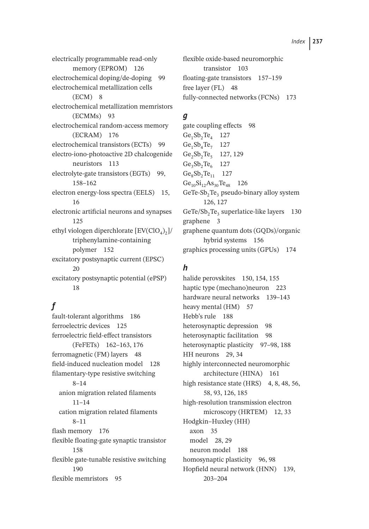electrically programmable read-only memory (EPROM) 126 electrochemical doping/de-doping 99 electrochemical metallization cells  $(ECM)$  8 electrochemical metallization memristors (ECMMs) 93 electrochemical random-access memory (ECRAM) 176 electrochemical transistors (ECTs) 99 electro-iono-photoactive 2D chalcogenide neuristors 113 electrolyte-gate transistors (EGTs) 99, 158–162 electron energy-loss spectra (EELS) 15, 16 electronic artificial neurons and synapses 125 ethyl viologen diperchlorate  $[EV(CIO<sub>4</sub>)<sub>2</sub>]$ / triphenylamine-containing polymer 152 excitatory postsynaptic current (EPSC)  $20$ excitatory postsynaptic potential (ePSP) 18

# *f*

fault-tolerant algorithms 186 ferroelectric devices 125 ferroelectric field-effect transistors (FeFETs) 162–163, 176 ferromagnetic (FM) layers 48 field-induced nucleation model 128 filamentary-type resistive switching 8–14 anion migration related filaments 11–14 cation migration related filaments 8–11 flash memory 176 flexible floating-gate synaptic transistor 158 flexible gate-tunable resistive switching 190 flexible memristors 95

flexible oxide-based neuromorphic transistor 103 floating-gate transistors 157–159 free layer (FL) 48 fully-connected networks (FCNs) 173

# *g*

gate coupling effects 98  $Ge_1Sb_2Te_4$  127  $Ge_1Sb_4Te_7$  127  $Ge_2Sb_2Te_5$  127, 129  $Ge_3Sb_3Te_6$  127  $Ge_8Sb_2Te_{11}$  127  $Ge_{10}Si_{12}As_{30}Te_{48}$  126 GeTe-Sb<sub>2</sub>Te<sub>3</sub> pseudo-binary alloy system 126, 127  $GeTe/Sb$ <sub>2</sub>Te<sub>3</sub> superlatice-like layers 130 graphene 3 graphene quantum dots (GQDs)/organic hybrid systems 156 graphics processing units (GPUs) 174

### *h*

halide perovskites 150, 154, 155 haptic type (mechano)neuron 223 hardware neural networks 139–143 heavy mental (HM) 57 Hebb's rule 188 heterosynaptic depression 98 heterosynaptic facilitation 98 heterosynaptic plasticity 97–98, 188 HH neurons 29, 34 highly interconnected neuromorphic architecture (HINA) 161 high resistance state (HRS) 4, 8, 48, 56, 58, 93, 126, 185 high-resolution transmission electron microscopy (HRTEM) 12, 33 Hodgkin–Huxley (HH) axon 35 model 28, 29 neuron model 188 homosynaptic plasticity 96, 98 Hopfield neural network (HNN) 139, 203–204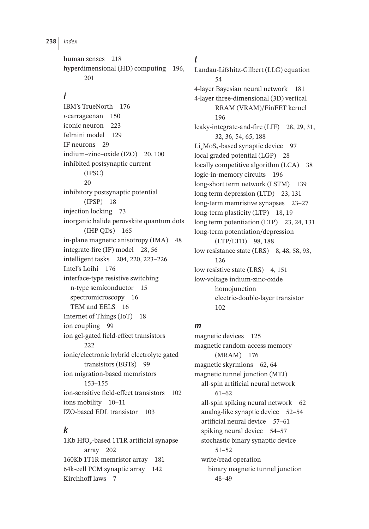human senses 218 hyperdimensional (HD) computing 196, 201

# *i*

IBM's TrueNorth 176 -carrageenan 150 iconic neuron 223 Ielmini model 129 IF neurons 29 indium–zinc–oxide (IZO) 20, 100 inhibited postsynaptic current (IPSC) 20 inhibitory postsynaptic potential (IPSP) 18 injection locking 73 inorganic halide perovskite quantum dots (IHP QDs) 165 in-plane magnetic anisotropy (IMA) 48 integrate-fire (IF) model 28, 56 intelligent tasks 204, 220, 223–226 Intel's Loihi 176 interface-type resistive switching n-type semiconductor 15 spectromicroscopy 16 TEM and EELS 16 Internet of Things (IoT) 18 ion coupling 99 ion gel-gated field-effect transistors 222 ionic/electronic hybrid electrolyte gated transistors (EGTs) 99 ion migration-based memristors 153–155 ion-sensitive field-effect transistors 102 ions mobility 10–11 IZO-based EDL transistor 103

# *k*

1Kb HfO*x*-based 1T1R artificial synapse array 202 160Kb 1T1R memristor array 181 64k-cell PCM synaptic array 142 Kirchhoff laws 7

# *l*

Landau-Lifshitz-Gilbert (LLG) equation 54 4-layer Bayesian neural network 181 4-layer three-dimensional (3D) vertical RRAM (VRAM)/FinFET kernel 196 leaky-integrate-and-fire (LIF) 28, 29, 31, 32, 36, 54, 65, 188 Li<sub>x</sub>MoS<sub>2</sub>-based synaptic device 97 local graded potential (LGP) 28 locally competitive algorithm (LCA) 38 logic-in-memory circuits 196 long-short term network (LSTM) 139 long term depression (LTD) 23, 131 long-term memristive synapses 23–27 long-term plasticity (LTP) 18, 19 long term potentiation (LTP) 23, 24, 131 long-term potentiation/depression (LTP/LTD) 98, 188 low resistance state (LRS) 8, 48, 58, 93, 126 low resistive state (LRS) 4, 151 low-voltage indium-zinc-oxide homojunction electric-double-layer transistor 102

# *m*

magnetic devices 125 magnetic random-access memory (MRAM) 176 magnetic skyrmions 62, 64 magnetic tunnel junction (MTJ) all-spin artificial neural network 61–62 all-spin spiking neural network 62 analog-like synaptic device 52–54 artificial neural device 57–61 spiking neural device 54–57 stochastic binary synaptic device 51–52 write/read operation binary magnetic tunnel junction 48–49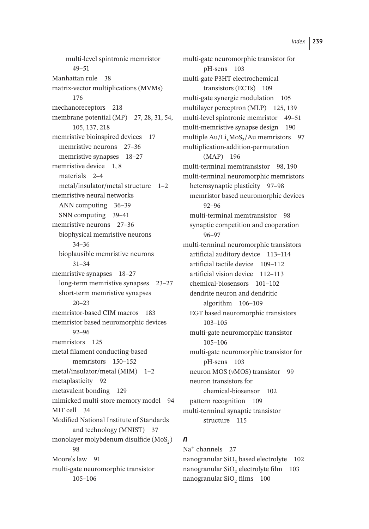multi-level spintronic memristor 49–51 Manhattan rule 38 matrix-vector multiplications (MVMs) 176 mechanoreceptors 218 membrane potential (MP) 27, 28, 31, 54, 105, 137, 218 memristive bioinspired devices 17 memristive neurons 27–36 memristive synapses 18–27 memristive device 1, 8 materials 2–4 metal/insulator/metal structure 1–2 memristive neural networks ANN computing 36–39 SNN computing 39–41 memristive neurons 27–36 biophysical memristive neurons 34–36 bioplausible memristive neurons 31–34 memristive synapses 18–27 long-term memristive synapses 23–27 short-term memristive synapses 20–23 memristor-based CIM macros 183 memristor based neuromorphic devices 92–96 memristors 125 metal filament conducting-based memristors 150–152 metal/insulator/metal (MIM) 1–2 metaplasticity 92 metavalent bonding 129 mimicked multi-store memory model 94 MIT cell 34 Modified National Institute of Standards and technology (MNIST) 37 monolayer molybdenum disulfide (MoS<sub>2</sub>) 98 Moore's law 91 multi-gate neuromorphic transistor 105–106

multi-gate neuromorphic transistor for pH-sens 103 multi-gate P3HT electrochemical transistors (ECTs) 109 multi-gate synergic modulation 105 multilayer perceptron (MLP) 125, 139 multi-level spintronic memristor 49–51 multi-memristive synapse design 190 multiple Au/Li<sub>x</sub>MoS<sub>2</sub>/Au memristors 97 multiplication-addition-permutation (MAP) 196 multi-terminal memtransistor 98, 190 multi-terminal neuromorphic memristors heterosynaptic plasticity 97–98 memristor based neuromorphic devices 92–96 multi-terminal memtransistor 98 synaptic competition and cooperation 96–97 multi-terminal neuromorphic transistors artificial auditory device 113–114 artificial tactile device 109–112 artificial vision device 112–113 chemical-biosensors 101–102 dendrite neuron and dendritic algorithm 106–109 EGT based neuromorphic transistors 103–105 multi-gate neuromorphic transistor 105–106 multi-gate neuromorphic transistor for pH-sens 103 neuron MOS (*v*MOS) transistor 99 neuron transistors for chemical-biosensor 102 pattern recognition 109 multi-terminal synaptic transistor structure 115

#### *n*

Na<sup>+</sup> channels 27 nanogranular  $SiO<sub>2</sub>$  based electrolyte 102 nanogranular SiO<sub>2</sub> electrolyte film 103 nanogranular SiO<sub>2</sub> films 100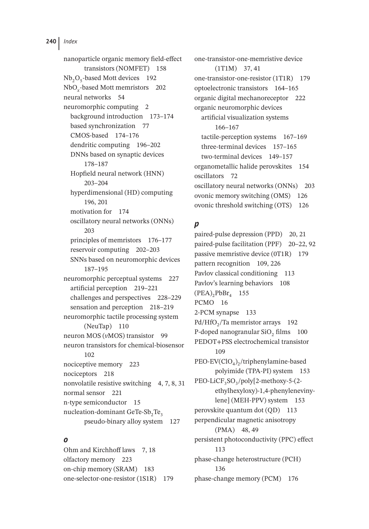nanoparticle organic memory field-effect transistors (NOMFET) 158  $Nb<sub>2</sub>O<sub>5</sub>$ -based Mott devices 192 NbO*x*-based Mott memristors 202 neural networks 54 neuromorphic computing 2 background introduction 173–174 based synchronization 77 CMOS-based 174–176 dendritic computing 196–202 DNNs based on synaptic devices 178–187 Hopfield neural network (HNN) 203–204 hyperdimensional (HD) computing 196, 201 motivation for 174 oscillatory neural networks (ONNs) 203 principles of memristors 176–177 reservoir computing 202–203 SNNs based on neuromorphic devices 187–195 neuromorphic perceptual systems 227 artificial perception 219–221 challenges and perspectives 228–229 sensation and perception 218–219 neuromorphic tactile processing system (NeuTap) 110 neuron MOS (*v*MOS) transistor 99 neuron transistors for chemical-biosensor 102 nociceptive memory 223 nociceptors 218 nonvolatile resistive switching 4, 7, 8, 31 normal sensor 221 n-type semiconductor 15 nucleation-dominant GeTe-Sb<sub>2</sub>Te<sub>2</sub> pseudo-binary alloy system 127

## *o*

Ohm and Kirchhoff laws 7, 18 olfactory memory 223 on-chip memory (SRAM) 183 one-selector-one-resistor (1S1R) 179 one-transistor-one-memristive device (1T1M) 37, 41 one-transistor-one-resistor (1T1R) 179 optoelectronic transistors 164–165 organic digital mechanoreceptor 222 organic neuromorphic devices artificial visualization systems 166–167 tactile-perception systems 167–169 three-terminal devices 157–165 two-terminal devices 149–157 organometallic halide perovskites 154 oscillators 72 oscillatory neural networks (ONNs) 203 ovonic memory switching (OMS) 126 ovonic threshold switching (OTS) 126

# *p*

paired-pulse depression (PPD) 20, 21 paired-pulse facilitation (PPF) 20–22, 92 passive memristive device (0T1R) 179 pattern recognition 109, 226 Pavlov classical conditioning 113 Pavlov's learning behaviors 108  $(PEA)$ <sub>2</sub> $PbBr<sub>4</sub>$  155 PCMO 16 2-PCM synapse 133 Pd/HfO<sub>2</sub>/Ta memristor arrays 192 P-doped nanogranular SiO<sub>2</sub> films 100 PEDOT+PSS electrochemical transistor  $109$ PEO-EV(ClO<sub>4</sub>)<sub>2</sub>/triphenylamine-based polyimide (TPA-PI) system 153 PEO-LiCF<sub>3</sub>SO<sub>3</sub>/poly[2-methoxy-5-(2ethylhexyloxy)-1,4-phenylenevinylene] (MEH-PPV) system 153 perovskite quantum dot (QD) 113 perpendicular magnetic anisotropy (PMA) 48, 49 persistent photoconductivity (PPC) effect 113 phase-change heterostructure (PCH) 136 phase-change memory (PCM) 176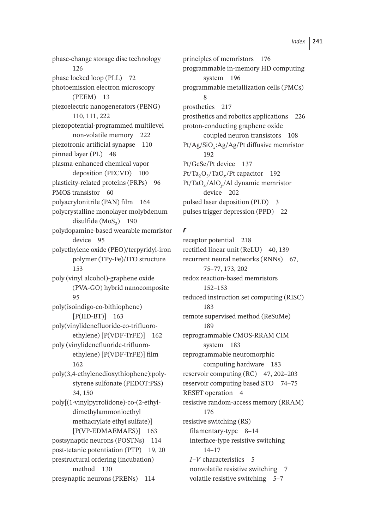phase-change storage disc technology 126 phase locked loop (PLL) 72 photoemission electron microscopy (PEEM) 13 piezoelectric nanogenerators (PENG) 110, 111, 222 piezopotential-programmed multilevel non-volatile memory 222 piezotronic artificial synapse 110 pinned layer (PL) 48 plasma-enhanced chemical vapor deposition (PECVD) 100 plasticity-related proteins (PRPs) 96 PMOS transistor 60 polyacrylonitrile (PAN) film 164 polycrystalline monolayer molybdenum disulfide  $(MoS<sub>2</sub>)$  190 polydopamine-based wearable memristor device 95 polyethylene oxide (PEO)/terpyridyl-iron polymer (TPy-Fe)/ITO structure 153 poly (vinyl alcohol)-graphene oxide (PVA-GO) hybrid nanocomposite 95 poly(isoindigo-co-bithiophene) [P(IID-BT)] 163 poly(vinylidenefluoride-co-trifluoroethylene) [P(VDF-TrFE)] 162 poly (vinylidenefluoride-trifluoroethylene) [P(VDF-TrFE)] film 162 poly(3,4-ethylenedioxythiophene):polystyrene sulfonate (PEDOT:PSS) 34, 150 poly[(1-vinylpyrrolidone)-co-(2-ethyldimethylammonioethyl methacrylate ethyl sulfate)] [P(VP-EDMAEMAES)] 163 postsynaptic neurons (POSTNs) 114 post-tetanic potentiation (PTP) 19, 20 prestructural ordering (incubation) method 130 presynaptic neurons (PRENs) 114

principles of memristors 176 programmable in-memory HD computing system 196 programmable metallization cells (PMCs) 8 prosthetics 217 prosthetics and robotics applications 226 proton-conducting graphene oxide coupled neuron transistors 108 Pt/Ag/SiO*x*:Ag/Ag/Pt diffusive memristor 192 Pt/GeSe/Pt device 137 Pt/Ta<sub>2</sub>O<sub>5</sub>/TaO<sub>x</sub>/Pt capacitor 192 Pt/TaO*x*/AlO*y*/Al dynamic memristor device 202 pulsed laser deposition (PLD) 3 pulses trigger depression (PPD) 22

#### *r*

receptor potential 218 rectified linear unit (ReLU) 40, 139 recurrent neural networks (RNNs) 67, 75–77, 173, 202 redox reaction-based memristors 152–153 reduced instruction set computing (RISC) 183 remote supervised method (ReSuMe) 189 reprogrammable CMOS-RRAM CIM system 183 reprogrammable neuromorphic computing hardware 183 reservoir computing (RC) 47, 202–203 reservoir computing based STO 74–75 RESET operation 4 resistive random-access memory (RRAM) 176 resistive switching (RS) filamentary-type 8–14 interface-type resistive switching 14–17 *I*–*V* characteristics 5 nonvolatile resistive switching 7 volatile resistive switching 5–7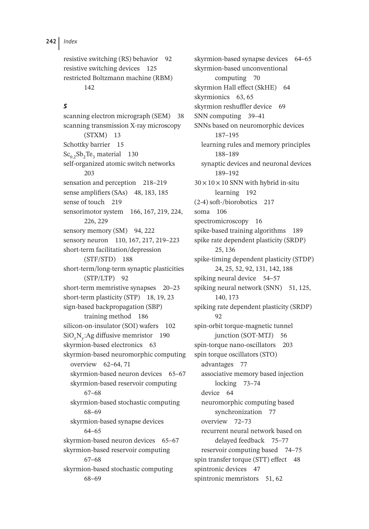resistive switching (RS) behavior 92 resistive switching devices 125 restricted Boltzmann machine (RBM) 142

#### *s*

scanning electron micrograph (SEM) 38 scanning transmission X-ray microscopy (STXM) 13 Schottky barrier 15  $Sc_{0.2}Sb_2Te_3$  material 130 self-organized atomic switch networks 203 sensation and perception 218–219 sense amplifiers (SAs) 48, 183, 185 sense of touch 219 sensorimotor system 166, 167, 219, 224, 226, 229 sensory memory (SM) 94, 222 sensory neuron 110, 167, 217, 219–223 short-term facilitation/depression (STF/STD) 188 short-term/long-term synaptic plasticities (STP/LTP) 92 short-term memristive synapses 20–23 short-term plasticity (STP) 18, 19, 23 sign-based backpropagation (SBP) training method 186 silicon-on-insulator (SOI) wafers 102 SiO*x*N*y*:Ag diffusive memristor 190 skyrmion-based electronics 63 skyrmion-based neuromorphic computing overview 62–64, 71 skyrmion-based neuron devices 65–67 skyrmion-based reservoir computing 67–68 skyrmion-based stochastic computing 68–69 skyrmion-based synapse devices 64–65 skyrmion-based neuron devices 65–67 skyrmion-based reservoir computing 67–68 skyrmion-based stochastic computing 68–69

skyrmion-based synapse devices 64–65 skyrmion-based unconventional computing 70 skyrmion Hall effect (SkHE) 64 skyrmionics 63, 65 skyrmion reshuffler device 69 SNN computing 39–41 SNNs based on neuromorphic devices 187–195 learning rules and memory principles 188–189 synaptic devices and neuronal devices 189–192  $30 \times 10 \times 10$  SNN with hybrid in-situ learning 192 (2-4) soft-/biorobotics 217 soma 106 spectromicroscopy 16 spike-based training algorithms 189 spike rate dependent plasticity (SRDP) 25, 136 spike-timing dependent plasticity (STDP) 24, 25, 52, 92, 131, 142, 188 spiking neural device 54–57 spiking neural network (SNN) 51, 125, 140, 173 spiking rate dependent plasticity (SRDP) 92 spin-orbit torque-magnetic tunnel junction (SOT-MTJ) 56 spin-torque nano-oscillators 203 spin torque oscillators (STO) advantages 77 associative memory based injection locking 73–74 device 64 neuromorphic computing based synchronization 77 overview 72–73 recurrent neural network based on delayed feedback 75–77 reservoir computing based 74–75 spin transfer torque (STT) effect 48 spintronic devices 47 spintronic memristors 51, 62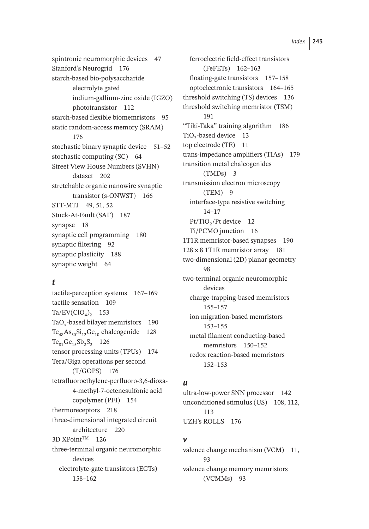spintronic neuromorphic devices 47 Stanford's Neurogrid 176 starch-based bio-polysaccharide electrolyte gated indium-gallium-zinc oxide (IGZO) phototransistor 112 starch-based flexible biomemristors 95 static random-access memory (SRAM) 176 stochastic binary synaptic device 51–52 stochastic computing (SC) 64 Street View House Numbers (SVHN) dataset 202 stretchable organic nanowire synaptic transistor (s-ONWST) 166 STT-MTJ 49, 51, 52 Stuck-At-Fault (SAF) 187 synapse 18 synaptic cell programming 180 synaptic filtering 92 synaptic plasticity 188 synaptic weight 64

### *t*

tactile-perception systems 167–169 tactile sensation 109  $Ta/EV(CIO<sub>4</sub>)$ <sub>2</sub> 153 TaO*x*-based bilayer memristors 190  $Te_{48}As_{30}Si_{12}Ge_{10}$  chalcogenide 128  $Te_{81}Ge_{15}Sb_2S_2$  126 tensor processing units (TPUs) 174 Tera/Giga operations per second (T/GOPS) 176 tetrafluoroethylene-perfluoro-3,6-dioxa-4-methyl-7-octenesulfonic acid copolymer (PFI) 154 thermoreceptors 218 three-dimensional integrated circuit architecture 220 3D XPointTM 126 three-terminal organic neuromorphic devices electrolyte-gate transistors (EGTs) 158–162

ferroelectric field-effect transistors (FeFETs) 162–163 floating-gate transistors 157–158 optoelectronic transistors 164–165 threshold switching (TS) devices 136 threshold switching memristor (TSM) 191 "Tiki-Taka" training algorithm 186 TiO<sub>2</sub>-based device 13 top electrode (TE) 11 trans-impedance amplifiers (TIAs) 179 transition metal chalcogenides (TMDs) 3 transmission electron microscopy (TEM) 9 interface-type resistive switching 14–17 Pt/TiO<sub>2</sub>/Pt device 12 Ti/PCMO junction 16 1T1R memristor-based synapses 190  $128 \times 8$  1T1R memristor array 181 two-dimensional (2D) planar geometry 98 two-terminal organic neuromorphic devices charge-trapping-based memristors 155–157 ion migration-based memristors 153–155 metal filament conducting-based memristors 150-152 redox reaction-based memristors 152–153

#### *u*

ultra-low-power SNN processor 142 unconditioned stimulus (US) 108, 112, 113 UZH's ROLLS 176

#### *v*

valence change mechanism (VCM) 11,  $93$ valence change memory memristors (VCMMs) 93